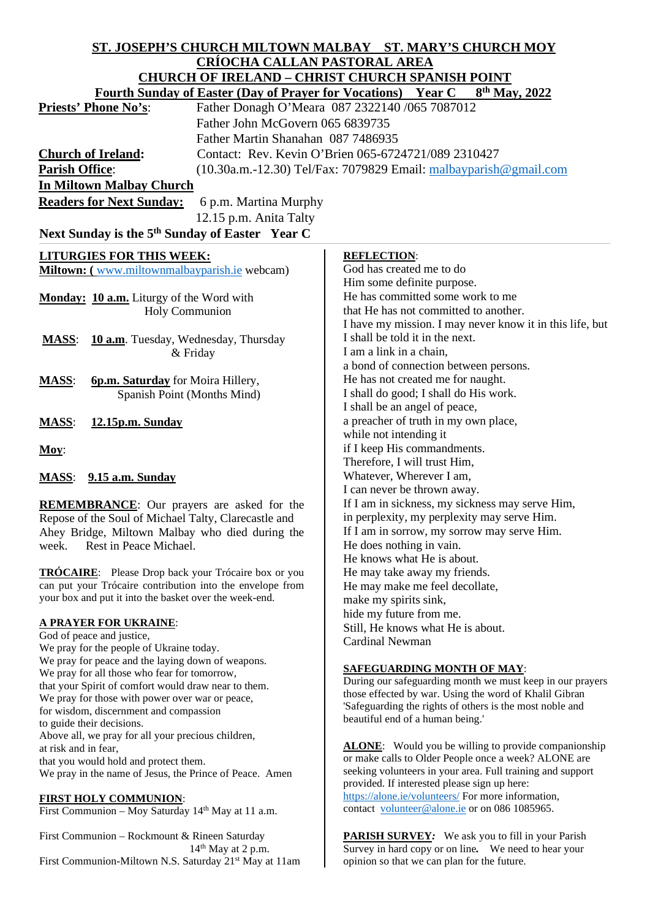| ST. JOSEPH'S CHURCH MILTOWN MALBAY ST. MARY'S CHURCH MOY<br><b>CRÍOCHA CALLAN PASTORAL AREA</b><br><b>CHURCH OF IRELAND - CHRIST CHURCH SPANISH POINT</b><br><b>Fourth Sunday of Easter (Day of Prayer for Vocations)</b><br><b>Year C</b><br>$8th$ May, 2022 |                                                                                                                    |                                                                               |  |
|---------------------------------------------------------------------------------------------------------------------------------------------------------------------------------------------------------------------------------------------------------------|--------------------------------------------------------------------------------------------------------------------|-------------------------------------------------------------------------------|--|
|                                                                                                                                                                                                                                                               |                                                                                                                    | <b>Priests' Phone No's:</b><br>Father Donagh O'Meara 087 2322140 /065 7087012 |  |
|                                                                                                                                                                                                                                                               |                                                                                                                    | Father John McGovern 065 6839735                                              |  |
|                                                                                                                                                                                                                                                               |                                                                                                                    | Father Martin Shanahan 087 7486935                                            |  |
| Contact: Rev. Kevin O'Brien 065-6724721/089 2310427<br><b>Church of Ireland:</b>                                                                                                                                                                              |                                                                                                                    |                                                                               |  |
| <b>Parish Office:</b><br>$(10.30a.m.-12.30)$ Tel/Fax: 7079829 Email: $m$ albayparish @gmail.com                                                                                                                                                               |                                                                                                                    |                                                                               |  |
| <b>In Miltown Malbay Church</b>                                                                                                                                                                                                                               |                                                                                                                    |                                                                               |  |
| <b>Readers for Next Sunday:</b><br>6 p.m. Martina Murphy                                                                                                                                                                                                      |                                                                                                                    |                                                                               |  |
| 12.15 p.m. Anita Talty                                                                                                                                                                                                                                        |                                                                                                                    |                                                                               |  |
| Next Sunday is the 5 <sup>th</sup> Sunday of Easter Year C                                                                                                                                                                                                    |                                                                                                                    |                                                                               |  |
| <b>LITURGIES FOR THIS WEEK:</b>                                                                                                                                                                                                                               | <b>REFLECTION:</b>                                                                                                 |                                                                               |  |
| Miltown: (www.miltownmalbayparish.ie webcam)                                                                                                                                                                                                                  | God has created me to do                                                                                           |                                                                               |  |
|                                                                                                                                                                                                                                                               | Him some definite purpose.                                                                                         |                                                                               |  |
| Monday: 10 a.m. Liturgy of the Word with                                                                                                                                                                                                                      | He has committed some work to me                                                                                   |                                                                               |  |
| <b>Holy Communion</b>                                                                                                                                                                                                                                         | that He has not committed to another.                                                                              |                                                                               |  |
|                                                                                                                                                                                                                                                               | I have my mission. I may never know it in this life, but                                                           |                                                                               |  |
| 10 a.m. Tuesday, Wednesday, Thursday<br><b>MASS:</b>                                                                                                                                                                                                          | I shall be told it in the next.                                                                                    |                                                                               |  |
| & Friday                                                                                                                                                                                                                                                      | I am a link in a chain,<br>a bond of connection between persons.                                                   |                                                                               |  |
| <b>MASS:</b><br><b>6p.m. Saturday</b> for Moira Hillery,                                                                                                                                                                                                      | He has not created me for naught.                                                                                  |                                                                               |  |
| Spanish Point (Months Mind)                                                                                                                                                                                                                                   | I shall do good; I shall do His work.                                                                              |                                                                               |  |
|                                                                                                                                                                                                                                                               | I shall be an angel of peace,                                                                                      |                                                                               |  |
| <b>MASS:</b><br>12.15p.m. Sunday                                                                                                                                                                                                                              | a preacher of truth in my own place,                                                                               |                                                                               |  |
|                                                                                                                                                                                                                                                               | while not intending it                                                                                             |                                                                               |  |
| Moy:                                                                                                                                                                                                                                                          | if I keep His commandments.                                                                                        |                                                                               |  |
|                                                                                                                                                                                                                                                               | Therefore, I will trust Him,                                                                                       |                                                                               |  |
| <b>MASS:</b> 9.15 a.m. Sunday                                                                                                                                                                                                                                 | Whatever, Wherever I am,                                                                                           |                                                                               |  |
|                                                                                                                                                                                                                                                               | I can never be thrown away.<br>If I am in sickness, my sickness may serve Him,                                     |                                                                               |  |
| <b>REMEMBRANCE:</b> Our prayers are asked for the<br>Repose of the Soul of Michael Talty, Clarecastle and                                                                                                                                                     | in perplexity, my perplexity may serve Him.                                                                        |                                                                               |  |
| Ahey Bridge, Miltown Malbay who died during the                                                                                                                                                                                                               | If I am in sorrow, my sorrow may serve Him.                                                                        |                                                                               |  |
| Rest in Peace Michael.<br>week.                                                                                                                                                                                                                               | He does nothing in vain.                                                                                           |                                                                               |  |
|                                                                                                                                                                                                                                                               | He knows what He is about.                                                                                         |                                                                               |  |
| <b>TRÓCAIRE:</b> Please Drop back your Trócaire box or you                                                                                                                                                                                                    | He may take away my friends.                                                                                       |                                                                               |  |
| can put your Trócaire contribution into the envelope from<br>your box and put it into the basket over the week-end.                                                                                                                                           | He may make me feel decollate,                                                                                     |                                                                               |  |
|                                                                                                                                                                                                                                                               | make my spirits sink,                                                                                              |                                                                               |  |
| <u>A PRAYER FOR UKRAINE:</u>                                                                                                                                                                                                                                  | hide my future from me.<br>Still, He knows what He is about.                                                       |                                                                               |  |
| God of peace and justice,                                                                                                                                                                                                                                     | <b>Cardinal Newman</b>                                                                                             |                                                                               |  |
| We pray for the people of Ukraine today.<br>We pray for peace and the laying down of weapons.                                                                                                                                                                 |                                                                                                                    |                                                                               |  |
| We pray for all those who fear for tomorrow,                                                                                                                                                                                                                  | <b>SAFEGUARDING MONTH OF MAY:</b>                                                                                  |                                                                               |  |
| that your Spirit of comfort would draw near to them.                                                                                                                                                                                                          | During our safeguarding month we must keep in our prayers                                                          |                                                                               |  |
| We pray for those with power over war or peace,                                                                                                                                                                                                               | those effected by war. Using the word of Khalil Gibran<br>'Safeguarding the rights of others is the most noble and |                                                                               |  |
| for wisdom, discernment and compassion                                                                                                                                                                                                                        | beautiful end of a human being.'                                                                                   |                                                                               |  |
| to guide their decisions.<br>Above all, we pray for all your precious children,                                                                                                                                                                               |                                                                                                                    |                                                                               |  |
| at risk and in fear,                                                                                                                                                                                                                                          | <b>ALONE:</b> Would you be willing to provide companionship                                                        |                                                                               |  |
| that you would hold and protect them.                                                                                                                                                                                                                         | or make calls to Older People once a week? ALONE are                                                               |                                                                               |  |
| We pray in the name of Jesus, the Prince of Peace. Amen                                                                                                                                                                                                       | seeking volunteers in your area. Full training and support                                                         |                                                                               |  |
|                                                                                                                                                                                                                                                               | provided. If interested please sign up here:<br>https://alone.ie/volunteers/ For more information,                 |                                                                               |  |
| <b>FIRST HOLY COMMUNION:</b><br>First Communion - Moy Saturday 14 <sup>th</sup> May at 11 a.m.                                                                                                                                                                | contact volunteer@alone.ie or on 086 1085965.                                                                      |                                                                               |  |
|                                                                                                                                                                                                                                                               |                                                                                                                    |                                                                               |  |
| First Communion - Rockmount & Rineen Saturday                                                                                                                                                                                                                 | <b>PARISH SURVEY:</b> We ask you to fill in your Parish                                                            |                                                                               |  |

 $\overline{\phantom{a}}$ 

 $14<sup>th</sup>$  May at 2 p.m. First Communion-Miltown N.S. Saturday 21st May at 11am Survey in hard copy or on line*.* We need to hear your opinion so that we can plan for the future.